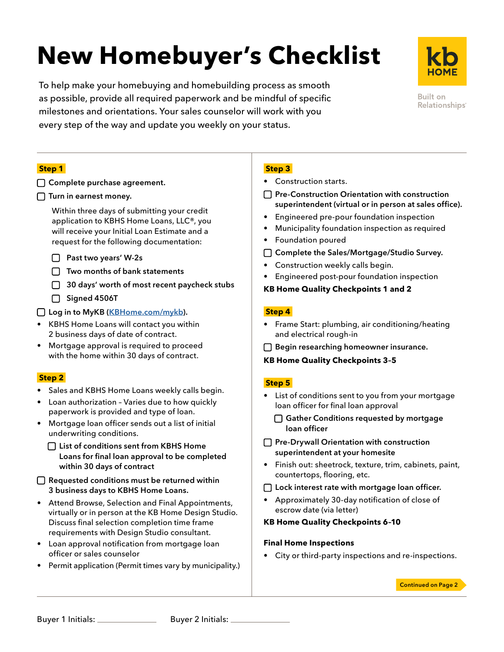# **New Homebuyer's Checklist**

To help make your homebuying and homebuilding process as smooth as possible, provide all required paperwork and be mindful of specific milestones and orientations. Your sales counselor will work with you every step of the way and update you weekly on your status.

**Built on** Relationships<sup>®</sup>

#### **Step 1**

□ Complete purchase agreement.

#### $\Box$  Turn in earnest money.

Within three days of submitting your credit application to KBHS Home Loans, LLC®, you will receive your Initial Loan Estimate and a request for the following documentation:

- □ Past two years' W-2s
- $\Box$  Two months of bank statements
- □ 30 days' worth of most recent paycheck stubs
- □ Signed 4506T

□ Log in to MyKB [\(KBHome.com/mykb](http://KBHome.com/mykb)).

- KBHS Home Loans will contact you within 2 business days of date of contract.
- Mortgage approval is required to proceed with the home within 30 days of contract.

#### **Step 2**

- Sales and KBHS Home Loans weekly calls begin.
- Loan authorization Varies due to how quickly paperwork is provided and type of loan.
- Mortgage loan officer sends out a list of initial underwriting conditions.
	- □ List of conditions sent from KBHS Home Loans for final loan approval to be completed within 30 days of contract

□ Requested conditions must be returned within 3 business days to KBHS Home Loans.

- Attend Browse, Selection and Final Appointments, virtually or in person at the KB Home Design Studio. Discuss final selection completion time frame requirements with Design Studio consultant.
- Loan approval notification from mortgage loan officer or sales counselor
- Permit application (Permit times vary by municipality.)

### **Step 3**

- Construction starts.
- □ Pre-Construction Orientation with construction superintendent (virtual or in person at sales office).
- Engineered pre-pour foundation inspection
- Municipality foundation inspection as required
- Foundation poured
- □ Complete the Sales/Mortgage/Studio Survey.
- Construction weekly calls begin.
- Engineered post-pour foundation inspection

#### **KB Home Quality Checkpoints 1 and 2**

#### **Step 4**

- Frame Start: plumbing, air conditioning/heating and electrical rough-in
- □ Begin researching homeowner insurance.

#### **KB Home Quality Checkpoints 3–5**

#### **Step 5**

- List of conditions sent to you from your mortgage loan officer for final loan approval
	- □ Gather Conditions requested by mortgage loan officer
- $\Box$  Pre-Drywall Orientation with construction superintendent at your homesite
- Finish out: sheetrock, texture, trim, cabinets, paint, countertops, flooring, etc.
- □ Lock interest rate with mortgage loan officer.
- Approximately 30-day notification of close of escrow date (via letter)

#### **KB Home Quality Checkpoints 6–10**

#### **Final Home Inspections**

• City or third-party inspections and re-inspections.